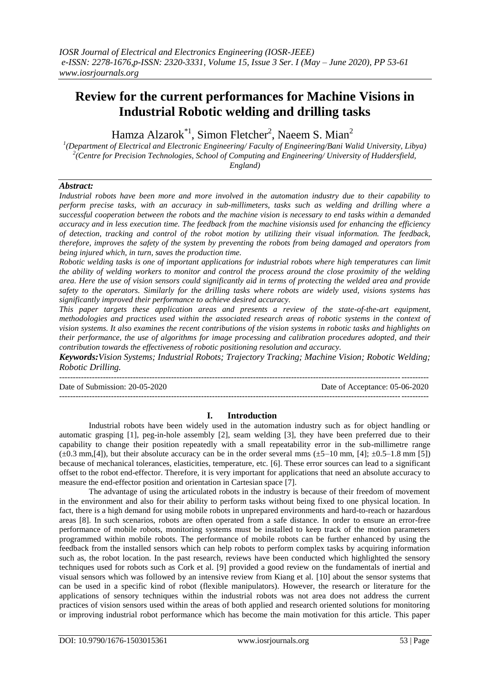# **Review for the current performances for Machine Visions in Industrial Robotic welding and drilling tasks**

Hamza Alzarok<sup>\*1</sup>, Simon Fletcher<sup>2</sup>, Naeem S. Mian<sup>2</sup>

*1 (Department of Electrical and Electronic Engineering/ Faculty of Engineering/Bani Walid University, Libya) 2 (Centre for Precision Technologies, School of Computing and Engineering/ University of Huddersfield, England)*

#### *Abstract:*

*Industrial robots have been more and more involved in the automation industry due to their capability to perform precise tasks, with an accuracy in sub-millimeters, tasks such as welding and drilling where a successful cooperation between the robots and the machine vision is necessary to end tasks within a demanded accuracy and in less execution time. The feedback from the machine visionsis used for enhancing the efficiency of detection, tracking and control of the robot motion by utilizing their visual information. The feedback, therefore, improves the safety of the system by preventing the robots from being damaged and operators from being injured which, in turn, saves the production time.*

*Robotic welding tasks is one of important applications for industrial robots where high temperatures can limit the ability of welding workers to monitor and control the process around the close proximity of the welding area. Here the use of vision sensors could significantly aid in terms of protecting the welded area and provide safety to the operators. Similarly for the drilling tasks where robots are widely used, visions systems has significantly improved their performance to achieve desired accuracy.*

*This paper targets these application areas and presents a review of the state-of-the-art equipment, methodologies and practices used within the associated research areas of robotic systems in the context of vision systems. It also examines the recent contributions of the vision systems in robotic tasks and highlights on their performance, the use of algorithms for image processing and calibration procedures adopted, and their contribution towards the effectiveness of robotic positioning resolution and accuracy.* 

*Keywords:Vision Systems; Industrial Robots; Trajectory Tracking; Machine Vision; Robotic Welding; Robotic Drilling.*

--------------------------------------------------------------------------------------------------------------------------------------- Date of Submission: 20-05-2020 Date of Acceptance: 05-06-2020 ---------------------------------------------------------------------------------------------------------------------------------------

#### **I. Introduction**

Industrial robots have been widely used in the automation industry such as for object handling or automatic grasping [\[1\]](#page-6-0), peg-in-hole assembly [\[2\]](#page-6-1), seam welding [\[3\]](#page-6-2), they have been preferred due to their capability to change their position repeatedly with a small repeatability error in the sub-millimetre range  $(\pm 0.3 \text{ mm}, [4])$  $(\pm 0.3 \text{ mm}, [4])$  $(\pm 0.3 \text{ mm}, [4])$ , but their absolute accuracy can be in the order several mms  $(\pm 5-10 \text{ mm}, [4]; \pm 0.5-1.8 \text{ mm}, [5])$  $(\pm 5-10 \text{ mm}, [4]; \pm 0.5-1.8 \text{ mm}, [5])$  $(\pm 5-10 \text{ mm}, [4]; \pm 0.5-1.8 \text{ mm}, [5])$ because of mechanical tolerances, elasticities, temperature, etc. [\[6\]](#page-7-1). These error sources can lead to a significant offset to the robot end-effector. Therefore, it is very important for applications that need an absolute accuracy to measure the end-effector position and orientation in Cartesian space [\[7\]](#page-7-2).

The advantage of using the articulated robots in the industry is because of their freedom of movement in the environment and also for their ability to perform tasks without being fixed to one physical location. In fact, there is a high demand for using mobile robots in unprepared environments and hard-to-reach or hazardous areas [\[8\]](#page-7-3). In such scenarios, robots are often operated from a safe distance. In order to ensure an error-free performance of mobile robots, monitoring systems must be installed to keep track of the motion parameters programmed within mobile robots. The performance of mobile robots can be further enhanced by using the feedback from the installed sensors which can help robots to perform complex tasks by acquiring information such as, the robot location. In the past research, reviews have been conducted which highlighted the sensory techniques used for robots such as Cork et al. [\[9\]](#page-7-4) provided a good review on the fundamentals of inertial and visual sensors which was followed by an intensive review from Kiang et al. [\[10\]](#page-7-5) about the sensor systems that can be used in a specific kind of robot (flexible manipulators). However, the research or literature for the applications of sensory techniques within the industrial robots was not area does not address the current practices of vision sensors used within the areas of both applied and research oriented solutions for monitoring or improving industrial robot performance which has become the main motivation for this article. This paper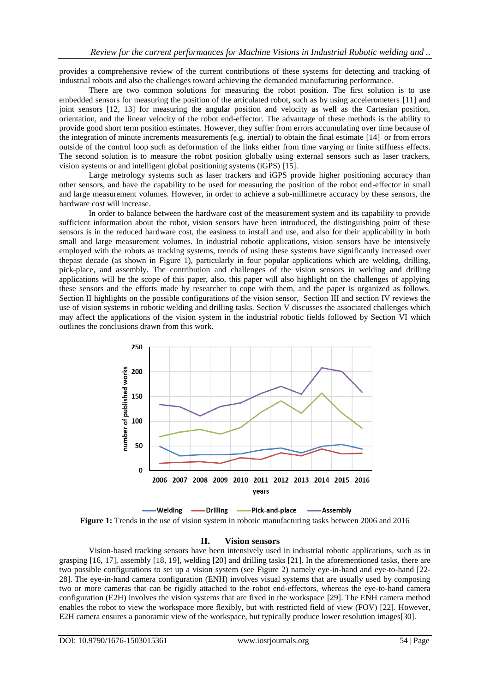provides a comprehensive review of the current contributions of these systems for detecting and tracking of industrial robots and also the challenges toward achieving the demanded manufacturing performance.

There are two common solutions for measuring the robot position. The first solution is to use embedded sensors for measuring the position of the articulated robot, such as by using accelerometers [\[11\]](#page-7-6) and joint sensors [\[12,](#page-7-7) [13\]](#page-7-8) for measuring the angular position and velocity as well as the Cartesian position, orientation, and the linear velocity of the robot end-effector. The advantage of these methods is the ability to provide good short term position estimates. However, they suffer from errors accumulating over time because of the integration of minute increments measurements (e.g. inertial) to obtain the final estimate [\[14\]](#page-7-9) or from errors outside of the control loop such as deformation of the links either from time varying or finite stiffness effects. The second solution is to measure the robot position globally using external sensors such as laser trackers, vision systems or and intelligent global positioning systems (iGPS) [\[15\]](#page-7-10).

Large metrology systems such as laser trackers and iGPS provide higher positioning accuracy than other sensors, and have the capability to be used for measuring the position of the robot end-effector in small and large measurement volumes. However, in order to achieve a sub-millimetre accuracy by these sensors, the hardware cost will increase.

In order to balance between the hardware cost of the measurement system and its capability to provide sufficient information about the robot, vision sensors have been introduced, the distinguishing point of these sensors is in the reduced hardware cost, the easiness to install and use, and also for their applicability in both small and large measurement volumes. In industrial robotic applications, vision sensors have be intensively employed with the robots as tracking systems, trends of using these systems have significantly increased over thepast decade (as shown in [Figure 1\)](#page-1-0), particularly in four popular applications which are welding, drilling, pick-place, and assembly. The contribution and challenges of the vision sensors in welding and drilling applications will be the scope of this paper, also, this paper will also highlight on the challenges of applying these sensors and the efforts made by researcher to cope with them, and the paper is organized as follows. Section [II](#page-1-1) highlights on the possible configurations of the vision sensor, Section [III](#page-3-0) and section [IV](#page-5-0) reviews the use of vision systems in robotic welding and drilling tasks. Section [V](#page-6-4) discusses the associated challenges which may affect the applications of the vision system in the industrial robotic fields followed by Section [VI](#page-6-5) which outlines the conclusions drawn from this work.



<span id="page-1-0"></span>**Figure 1:** Trends in the use of vision system in robotic manufacturing tasks between 2006 and 2016

## **II. Vision sensors**

<span id="page-1-1"></span>Vision-based tracking sensors have been intensively used in industrial robotic applications, such as in grasping [\[16,](#page-7-11) [17\]](#page-7-12), assembly [\[18,](#page-7-13) [19\]](#page-7-14), welding [\[20\]](#page-7-15) and drilling tasks [\[21\]](#page-7-16). In the aforementioned tasks, there are two possible configurations to set up a vision system (see [Figure 2\)](#page-2-0) namely eye-in-hand and eye-to-hand [\[22-](#page-7-17) [28\]](#page-7-17). The eye-in-hand camera configuration (ENH) involves visual systems that are usually used by composing two or more cameras that can be rigidly attached to the robot end-effectors, whereas the eye-to-hand camera configuration (E2H) involves the vision systems that are fixed in the workspace [\[29\]](#page-7-18). The ENH camera method enables the robot to view the workspace more flexibly, but with restricted field of view (FOV) [\[22\]](#page-7-17). However, E2H camera ensures a panoramic view of the workspace, but typically produce lower resolution images[\[30\]](#page-7-19).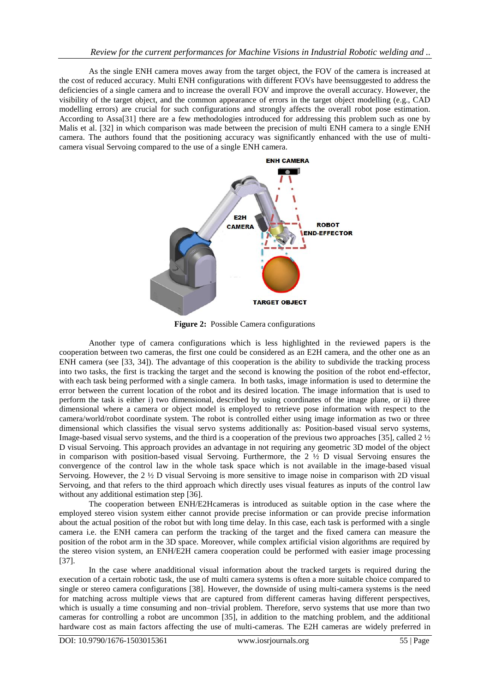As the single ENH camera moves away from the target object, the FOV of the camera is increased at the cost of reduced accuracy. Multi ENH configurations with different FOVs have beensuggested to address the deficiencies of a single camera and to increase the overall FOV and improve the overall accuracy. However, the visibility of the target object, and the common appearance of errors in the target object modelling (e.g., CAD modelling errors) are crucial for such configurations and strongly affects the overall robot pose estimation. According to Assa[\[31\]](#page-7-20) there are a few methodologies introduced for addressing this problem such as one by Malis et al. [\[32\]](#page-7-21) in which comparison was made between the precision of multi ENH camera to a single ENH camera. The authors found that the positioning accuracy was significantly enhanced with the use of multicamera visual Servoing compared to the use of a single ENH camera.



**Figure 2:** Possible Camera configurations

<span id="page-2-0"></span>Another type of camera configurations which is less highlighted in the reviewed papers is the cooperation between two cameras, the first one could be considered as an E2H camera, and the other one as an ENH camera (see [\[33,](#page-7-22) [34\]](#page-7-23)). The advantage of this cooperation is the ability to subdivide the tracking process into two tasks, the first is tracking the target and the second is knowing the position of the robot end-effector, with each task being performed with a single camera. In both tasks, image information is used to determine the error between the current location of the robot and its desired location. The image information that is used to perform the task is either i) two dimensional, described by using coordinates of the image plane, or ii) three dimensional where a camera or object model is employed to retrieve pose information with respect to the camera/world/robot coordinate system. The robot is controlled either using image information as two or three dimensional which classifies the visual servo systems additionally as: Position-based visual servo systems, Image-based visual servo systems, and the third is a cooperation of the previous two approaches [\[35\]](#page-7-24), called 2 ½ D visual Servoing. This approach provides an advantage in not requiring any geometric 3D model of the object in comparison with position-based visual Servoing. Furthermore, the  $2\frac{1}{2}$  D visual Servoing ensures the convergence of the control law in the whole task space which is not available in the image-based visual Servoing. However, the  $2 \frac{1}{2}$  D visual Servoing is more sensitive to image noise in comparison with 2D visual Servoing, and that refers to the third approach which directly uses visual features as inputs of the control law without any additional estimation step [\[36\]](#page-7-25).

The cooperation between ENH/E2Hcameras is introduced as suitable option in the case where the employed stereo vision system either cannot provide precise information or can provide precise information about the actual position of the robot but with long time delay. In this case, each task is performed with a single camera i.e. the ENH camera can perform the tracking of the target and the fixed camera can measure the position of the robot arm in the 3D space. Moreover, while complex artificial vision algorithms are required by the stereo vision system, an ENH/E2H camera cooperation could be performed with easier image processing [\[37\]](#page-7-26).

In the case where anadditional visual information about the tracked targets is required during the execution of a certain robotic task, the use of multi camera systems is often a more suitable choice compared to single or stereo camera configurations [\[38\]](#page-7-27). However, the downside of using multi-camera systems is the need for matching across multiple views that are captured from different cameras having different perspectives, which is usually a time consuming and non–trivial problem. Therefore, servo systems that use more than two cameras for controlling a robot are uncommon [\[35\]](#page-7-24), in addition to the matching problem, and the additional hardware cost as main factors affecting the use of multi-cameras. The E2H cameras are widely preferred in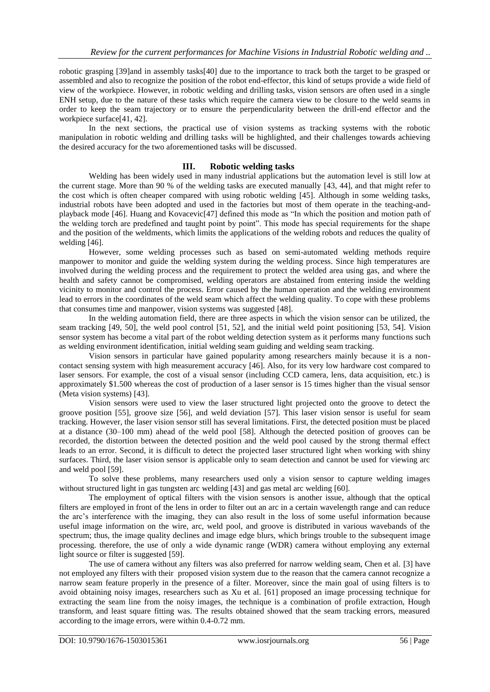robotic grasping [\[39\]](#page-7-28)and in assembly tasks[\[40\]](#page-7-29) due to the importance to track both the target to be grasped or assembled and also to recognize the position of the robot end-effector, this kind of setups provide a wide field of view of the workpiece. However, in robotic welding and drilling tasks, vision sensors are often used in a single ENH setup, due to the nature of these tasks which require the camera view to be closure to the weld seams in order to keep the seam trajectory or to ensure the perpendicularity between the drill-end effector and the workpiece surface[\[41,](#page-7-30) [42\]](#page-7-31).

In the next sections, the practical use of vision systems as tracking systems with the robotic manipulation in robotic welding and drilling tasks will be highlighted, and their challenges towards achieving the desired accuracy for the two aforementioned tasks will be discussed.

## **III. Robotic welding tasks**

<span id="page-3-0"></span>Welding has been widely used in many industrial applications but the automation level is still low at the current stage. More than 90 % of the welding tasks are executed manually [\[43,](#page-7-32) [44\]](#page-7-33), and that might refer to the cost which is often cheaper compared with using robotic welding [\[45\]](#page-8-0). Although in some welding tasks, industrial robots have been adopted and used in the factories but most of them operate in the teaching-andplayback mode [\[46\]](#page-8-1). Huang and Kovacevic[\[47\]](#page-8-2) defined this mode as "In which the position and motion path of the welding torch are predefined and taught point by point". This mode has special requirements for the shape and the position of the weldments, which limits the applications of the welding robots and reduces the quality of welding [\[46\]](#page-8-1).

However, some welding processes such as based on semi-automated welding methods require manpower to monitor and guide the welding system during the welding process. Since high temperatures are involved during the welding process and the requirement to protect the welded area using gas, and where the health and safety cannot be compromised, welding operators are abstained from entering inside the welding vicinity to monitor and control the process. Error caused by the human operation and the welding environment lead to errors in the coordinates of the weld seam which affect the welding quality. To cope with these problems that consumes time and manpower, vision systems was suggested [\[48\]](#page-8-3).

In the welding automation field, there are three aspects in which the vision sensor can be utilized, the seam tracking [\[49,](#page-8-4) [50\]](#page-8-5), the weld pool control [\[51,](#page-8-6) [52\]](#page-8-7), and the initial weld point positioning [\[53,](#page-8-8) [54\]](#page-8-9). Vision sensor system has become a vital part of the robot welding detection system as it performs many functions such as welding environment identification, initial welding seam guiding and welding seam tracking.

Vision sensors in particular have gained popularity among researchers mainly because it is a noncontact sensing system with high measurement accuracy [\[46\]](#page-8-1). Also, for its very low hardware cost compared to laser sensors. For example, the cost of a visual sensor (including CCD camera, lens, data acquisition, etc.) is approximately \$1.500 whereas the cost of production of a laser sensor is 15 times higher than the visual sensor (Meta vision systems) [\[43\]](#page-7-32).

Vision sensors were used to view the laser structured light projected onto the groove to detect the groove position [\[55\]](#page-8-10), groove size [\[56\]](#page-8-11), and weld deviation [\[57\]](#page-8-12). This laser vision sensor is useful for seam tracking. However, the laser vision sensor still has several limitations. First, the detected position must be placed at a distance (30–100 mm) ahead of the weld pool [\[58\]](#page-8-13). Although the detected position of grooves can be recorded, the distortion between the detected position and the weld pool caused by the strong thermal effect leads to an error. Second, it is difficult to detect the projected laser structured light when working with shiny surfaces. Third, the laser vision sensor is applicable only to seam detection and cannot be used for viewing arc and weld pool [\[59\]](#page-8-14).

To solve these problems, many researchers used only a vision sensor to capture welding images without structured light in gas tungsten arc welding [\[43\]](#page-7-32) and gas metal arc welding [\[60\]](#page-8-15).

The employment of optical filters with the vision sensors is another issue, although that the optical filters are employed in front of the lens in order to filter out an arc in a certain wavelength range and can reduce the arc's interference with the imaging, they can also result in the loss of some useful information because useful image information on the wire, arc, weld pool, and groove is distributed in various wavebands of the spectrum; thus, the image quality declines and image edge blurs, which brings trouble to the subsequent image processing. therefore, the use of only a wide dynamic range (WDR) camera without employing any external light source or filter is suggested [\[59\]](#page-8-14).

The use of camera without any filters was also preferred for narrow welding seam, Chen et al. [\[3\]](#page-6-2) have not employed any filters with their proposed vision system due to the reason that the camera cannot recognize a narrow seam feature properly in the presence of a filter. Moreover, since the main goal of using filters is to avoid obtaining noisy images, researchers such as Xu et al. [\[61\]](#page-8-16) proposed an image processing technique for extracting the seam line from the noisy images, the technique is a combination of profile extraction, Hough transform, and least square fitting was. The results obtained showed that the seam tracking errors, measured according to the image errors, were within 0.4-0.72 mm.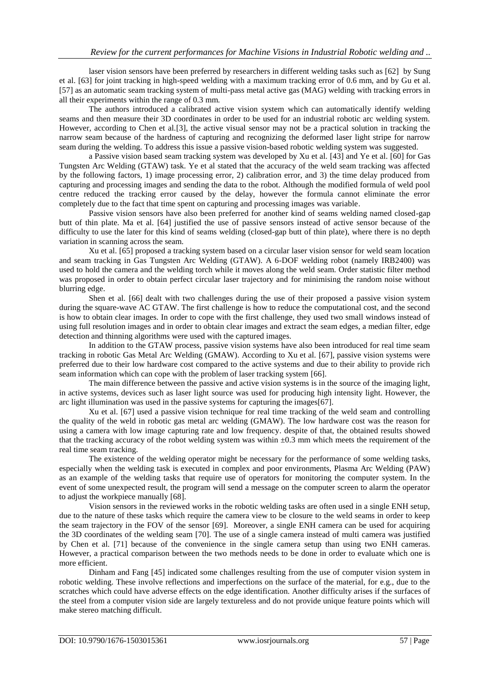laser vision sensors have been preferred by researchers in different welding tasks such as [\[62\]](#page-8-17) by Sung et al. [\[63\]](#page-8-18) for joint tracking in high-speed welding with a maximum tracking error of 0.6 mm, and by Gu et al. [\[57\]](#page-8-12) as an automatic seam tracking system of multi-pass metal active gas (MAG) welding with tracking errors in all their experiments within the range of 0.3 mm.

The authors introduced a calibrated active vision system which can automatically identify welding seams and then measure their 3D coordinates in order to be used for an industrial robotic arc welding system. However, according to Chen et al.[\[3\]](#page-6-2), the active visual sensor may not be a practical solution in tracking the narrow seam because of the hardness of capturing and recognizing the deformed laser light stripe for narrow seam during the welding. To address this issue a passive vision-based robotic welding system was suggested.

a Passive vision based seam tracking system was developed by Xu et al. [\[43\]](#page-7-32) and Ye et al. [\[60\]](#page-8-15) for Gas Tungsten Arc Welding (GTAW) task. Ye et al stated that the accuracy of the weld seam tracking was affected by the following factors, 1) image processing error, 2) calibration error, and 3) the time delay produced from capturing and processing images and sending the data to the robot. Although the modified formula of weld pool centre reduced the tracking error caused by the delay, however the formula cannot eliminate the error completely due to the fact that time spent on capturing and processing images was variable.

Passive vision sensors have also been preferred for another kind of seams welding named closed-gap butt of thin plate. Ma et al. [\[64\]](#page-8-19) justified the use of passive sensors instead of active sensor because of the difficulty to use the later for this kind of seams welding (closed-gap butt of thin plate), where there is no depth variation in scanning across the seam.

Xu et al. [\[65\]](#page-8-20) proposed a tracking system based on a circular laser vision sensor for weld seam location and seam tracking in Gas Tungsten Arc Welding (GTAW). A 6-DOF welding robot (namely IRB2400) was used to hold the camera and the welding torch while it moves along the weld seam. Order statistic filter method was proposed in order to obtain perfect circular laser trajectory and for minimising the random noise without blurring edge.

Shen et al. [\[66\]](#page-8-21) dealt with two challenges during the use of their proposed a passive vision system during the square-wave AC GTAW. The first challenge is how to reduce the computational cost, and the second is how to obtain clear images. In order to cope with the first challenge, they used two small windows instead of using full resolution images and in order to obtain clear images and extract the seam edges, a median filter, edge detection and thinning algorithms were used with the captured images.

In addition to the GTAW process, passive vision systems have also been introduced for real time seam tracking in robotic Gas Metal Arc Welding (GMAW). According to Xu et al. [\[67\]](#page-8-22), passive vision systems were preferred due to their low hardware cost compared to the active systems and due to their ability to provide rich seam information which can cope with the problem of laser tracking system [\[66\]](#page-8-21).

The main difference between the passive and active vision systems is in the source of the imaging light, in active systems, devices such as laser light source was used for producing high intensity light. However, the arc light illumination was used in the passive systems for capturing the images[\[67\]](#page-8-22).

Xu et al. [\[67\]](#page-8-22) used a passive vision technique for real time tracking of the weld seam and controlling the quality of the weld in robotic gas metal arc welding (GMAW). The low hardware cost was the reason for using a camera with low image capturing rate and low frequency. despite of that, the obtained results showed that the tracking accuracy of the robot welding system was within  $\pm 0.3$  mm which meets the requirement of the real time seam tracking.

The existence of the welding operator might be necessary for the performance of some welding tasks, especially when the welding task is executed in complex and poor environments, Plasma Arc Welding (PAW) as an example of the welding tasks that require use of operators for monitoring the computer system. In the event of some unexpected result, the program will send a message on the computer screen to alarm the operator to adjust the workpiece manually [\[68\]](#page-8-23).

Vision sensors in the reviewed works in the robotic welding tasks are often used in a single ENH setup, due to the nature of these tasks which require the camera view to be closure to the weld seams in order to keep the seam trajectory in the FOV of the sensor [\[69\]](#page-8-24). Moreover, a single ENH camera can be used for acquiring the 3D coordinates of the welding seam [\[70\]](#page-8-25). The use of a single camera instead of multi camera was justified by Chen et al. [\[71\]](#page-8-26) because of the convenience in the single camera setup than using two ENH cameras. However, a practical comparison between the two methods needs to be done in order to evaluate which one is more efficient.

Dinham and Fang [\[45\]](#page-8-0) indicated some challenges resulting from the use of computer vision system in robotic welding. These involve reflections and imperfections on the surface of the material, for e.g., due to the scratches which could have adverse effects on the edge identification. Another difficulty arises if the surfaces of the steel from a computer vision side are largely textureless and do not provide unique feature points which will make stereo matching difficult.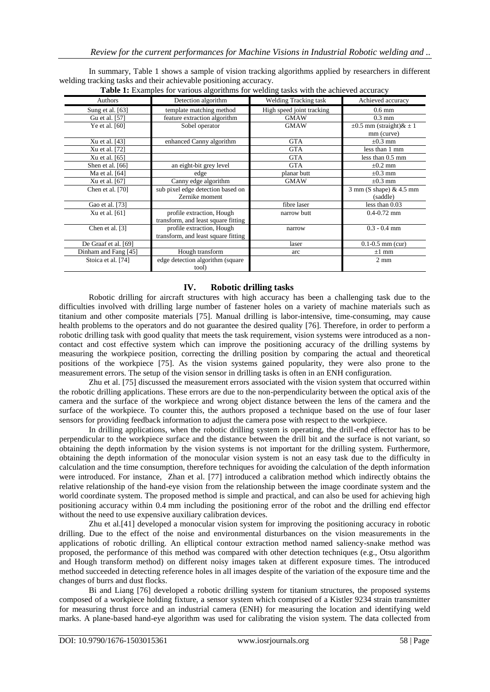In summary, [Table 1](#page-5-1) shows a sample of vision tracking algorithms applied by researchers in different welding tracking tasks and their achievable positioning accuracy.<br>Table 1: Examples for various elections for valding

<span id="page-5-1"></span>

| <b>Table 1:</b> Examples for various algorithms for weighing tasks with the active accuracy |                                     |                              |                                   |
|---------------------------------------------------------------------------------------------|-------------------------------------|------------------------------|-----------------------------------|
| Authors                                                                                     | Detection algorithm                 | <b>Welding Tracking task</b> | Achieved accuracy                 |
| Sung et al. [63]                                                                            | template matching method            | High speed joint tracking    | $0.6$ mm                          |
| Gu et al. [57]                                                                              | feature extraction algorithm        | <b>GMAW</b>                  | $0.3 \text{ mm}$                  |
| Ye et al. [60]                                                                              | Sobel operator                      | <b>GMAW</b>                  | $\pm 0.5$ mm (straight) & $\pm 1$ |
|                                                                                             |                                     |                              | mm (curve)                        |
| Xu et al. [43]                                                                              | enhanced Canny algorithm            | <b>GTA</b>                   | $\pm 0.3$ mm                      |
| Xu et al. [72]                                                                              |                                     | <b>GTA</b>                   | less than 1 mm                    |
| Xu et al. [65]                                                                              |                                     | <b>GTA</b>                   | less than $0.5 \text{ mm}$        |
| Shen et al. [66]                                                                            | an eight-bit grey level             | <b>GTA</b>                   | $\pm 0.2$ mm                      |
| Ma et al. [64]                                                                              | edge                                | planar butt                  | $\pm 0.3$ mm                      |
| Xu et al. [67]                                                                              | Canny edge algorithm                | <b>GMAW</b>                  | $\pm 0.3$ mm                      |
| Chen et al. [70]                                                                            | sub pixel edge detection based on   |                              | $3 \text{ mm}$ (S shape) & 4.5 mm |
|                                                                                             | Zernike moment                      |                              | (saddle)                          |
| Gao et al. [73]                                                                             |                                     | fibre laser                  | less than $0.03$                  |
| Xu et al. [61]                                                                              | profile extraction, Hough           | narrow butt                  | $0.4 - 0.72$ mm                   |
|                                                                                             | transform, and least square fitting |                              |                                   |
| Chen et al. [3]                                                                             | profile extraction, Hough           | narrow                       | $0.3 - 0.4$ mm                    |
|                                                                                             | transform, and least square fitting |                              |                                   |
| De Graaf et al. [69]                                                                        |                                     | laser                        | $0.1 - 0.5$ mm (cur)              |
| Dinham and Fang [45]                                                                        | Hough transform                     | arc                          | $\pm 1$ mm                        |
| Stoica et al. [74]                                                                          | edge detection algorithm (square    |                              | $2 \text{ mm}$                    |
|                                                                                             | tool)                               |                              |                                   |

## **Table 1:** Examples **Table 1:** Example 1: Example 1: Example 1: Example 1: Example 1: Example 1: Example 2: Example

## **IV. Robotic drilling tasks**

<span id="page-5-0"></span>Robotic drilling for aircraft structures with high accuracy has been a challenging task due to the difficulties involved with drilling large number of fastener holes on a variety of machine materials such as titanium and other composite materials [\[75\]](#page-8-30). Manual drilling is labor-intensive, time-consuming, may cause health problems to the operators and do not guarantee the desired quality [\[76\]](#page-8-31). Therefore, in order to perform a robotic drilling task with good quality that meets the task requirement, vision systems were introduced as a noncontact and cost effective system which can improve the positioning accuracy of the drilling systems by measuring the workpiece position, correcting the drilling position by comparing the actual and theoretical positions of the workpiece [\[75\]](#page-8-30). As the vision systems gained popularity, they were also prone to the measurement errors. The setup of the vision sensor in drilling tasks is often in an ENH configuration.

Zhu et al. [\[75\]](#page-8-30) discussed the measurement errors associated with the vision system that occurred within the robotic drilling applications. These errors are due to the non-perpendicularity between the optical axis of the camera and the surface of the workpiece and wrong object distance between the lens of the camera and the surface of the workpiece. To counter this, the authors proposed a technique based on the use of four laser sensors for providing feedback information to adjust the camera pose with respect to the workpiece.

In drilling applications, when the robotic drilling system is operating, the drill-end effector has to be perpendicular to the workpiece surface and the distance between the drill bit and the surface is not variant, so obtaining the depth information by the vision systems is not important for the drilling system. Furthermore, obtaining the depth information of the monocular vision system is not an easy task due to the difficulty in calculation and the time consumption, therefore techniques for avoiding the calculation of the depth information were introduced. For instance, Zhan et al. [\[77\]](#page-8-32) introduced a calibration method which indirectly obtains the relative relationship of the hand-eye vision from the relationship between the image coordinate system and the world coordinate system. The proposed method is simple and practical, and can also be used for achieving high positioning accuracy within 0.4 mm including the positioning error of the robot and the drilling end effector without the need to use expensive auxiliary calibration devices.

Zhu et al.[\[41\]](#page-7-30) developed a monocular vision system for improving the positioning accuracy in robotic drilling. Due to the effect of the noise and environmental disturbances on the vision measurements in the applications of robotic drilling. An elliptical contour extraction method named saliency-snake method was proposed, the performance of this method was compared with other detection techniques (e.g., Otsu algorithm and Hough transform method) on different noisy images taken at different exposure times. The introduced method succeeded in detecting reference holes in all images despite of the variation of the exposure time and the changes of burrs and dust flocks.

Bi and Liang [\[76\]](#page-8-31) developed a robotic drilling system for titanium structures, the proposed systems composed of a workpiece holding fixture, a sensor system which comprised of a Kistler 9234 strain transmitter for measuring thrust force and an industrial camera (ENH) for measuring the location and identifying weld marks. A plane-based hand-eye algorithm was used for calibrating the vision system. The data collected from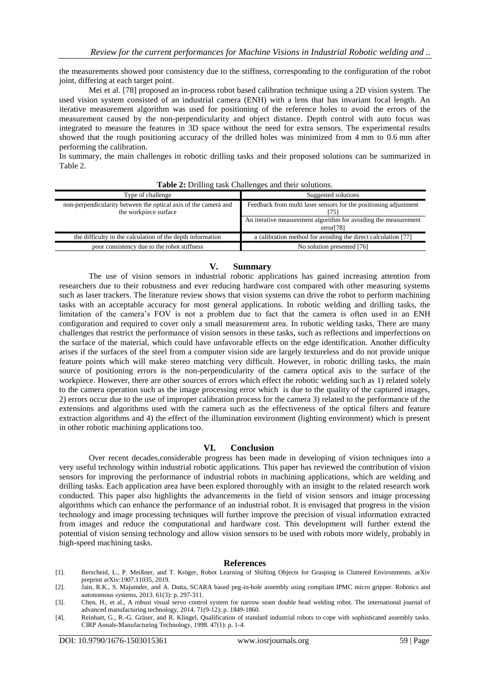the measurements showed poor consistency due to the stiffness, corresponding to the configuration of the robot joint, differing at each target point.

Mei et al. [\[78\]](#page-8-33) proposed an in-process robot based calibration technique using a 2D vision system. The used vision system consisted of an industrial camera (ENH) with a lens that has invariant focal length. An iterative measurement algorithm was used for positioning of the reference holes to avoid the errors of the measurement caused by the non-perpendicularity and object distance. Depth control with auto focus was integrated to measure the features in 3D space without the need for extra sensors. The experimental results showed that the rough positioning accuracy of the drilled holes was minimized from 4 mm to 0.6 mm after performing the calibration.

In summary, the main challenges in robotic drilling tasks and their proposed solutions can be summarized in [Table 2.](#page-6-6) 

<span id="page-6-6"></span>

| Type of challenge                                                                        | Suggested solutions                                                          |  |
|------------------------------------------------------------------------------------------|------------------------------------------------------------------------------|--|
| non-perpendicularity between the optical axis of the camera and<br>the workpiece surface | Feedback from multi laser sensors for the positioning adjustment<br>75       |  |
|                                                                                          | An iterative measurement algorithm for avoiding the measurement<br>error[78] |  |
| the difficulty in the calculation of the depth information                               | a calibration method for avoiding the direct calculation [77]                |  |
| poor consistency due to the robot stiffness                                              | No solution presented [76]                                                   |  |

**Table 2:** Drilling task Challenges and their solutions.

## **V. Summary**

<span id="page-6-4"></span>The use of vision sensors in industrial robotic applications has gained increasing attention from researchers due to their robustness and ever reducing hardware cost compared with other measuring systems such as laser trackers. The literature review shows that vision systems can drive the robot to perform machining tasks with an acceptable accuracy for most general applications. In robotic welding and drilling tasks, the limitation of the camera's FOV is not a problem due to fact that the camera is often used in an ENH configuration and required to cover only a small measurement area. In robotic welding tasks, There are many challenges that restrict the performance of vision sensors in these tasks, such as reflections and imperfections on the surface of the material, which could have unfavorable effects on the edge identification. Another difficulty arises if the surfaces of the steel from a computer vision side are largely textureless and do not provide unique feature points which will make stereo matching very difficult. However, in robotic drilling tasks, the main source of positioning errors is the non-perpendicularity of the camera optical axis to the surface of the workpiece. However, there are other sources of errors which effect the robotic welding such as 1) related solely to the camera operation such as the image processing error which is due to the quality of the captured images, 2) errors occur due to the use of improper calibration process for the camera 3) related to the performance of the extensions and algorithms used with the camera such as the effectiveness of the optical filters and feature extraction algorithms and 4) the effect of the illumination environment (lighting environment) which is present in other robotic machining applications too.

## **VI. Conclusion**

<span id="page-6-5"></span>Over recent decades,considerable progress has been made in developing of vision techniques into a very useful technology within industrial robotic applications. This paper has reviewed the contribution of vision sensors for improving the performance of industrial robots in machining applications, which are welding and drilling tasks. Each application area have been explored thoroughly with an insight to the related research work conducted. This paper also highlights the advancements in the field of vision sensors and image processing algorithms which can enhance the performance of an industrial robot. It is envisaged that progress in the vision technology and image processing techniques will further improve the precision of visual information extracted from images and reduce the computational and hardware cost. This development will further extend the potential of vision sensing technology and allow vision sensors to be used with robots more widely, probably in high-speed machining tasks.

#### **References**

- <span id="page-6-0"></span>[1]. Berscheid, L., P. Meißner, and T. Kröger, Robot Learning of Shifting Objects for Grasping in Cluttered Environments. arXiv preprint arXiv:1907.11035, 2019.
- <span id="page-6-1"></span>[2]. Jain, R.K., S. Majumder, and A. Dutta, SCARA based peg-in-hole assembly using compliant IPMC micro gripper. Robotics and autonomous systems, 2013. 61(3): p. 297-311.

<span id="page-6-3"></span>[4]. Reinhart, G., R.-G. Gräser, and R. Klingel, Qualification of standard industrial robots to cope with sophisticated assembly tasks. CIRP Annals-Manufacturing Technology, 1998. 47(1): p. 1-4.

<span id="page-6-2"></span><sup>[3].</sup> Chen, H., et al., A robust visual servo control system for narrow seam double head welding robot. The international journal of advanced manufacturing technology, 2014. 71(9-12): p. 1849-1860.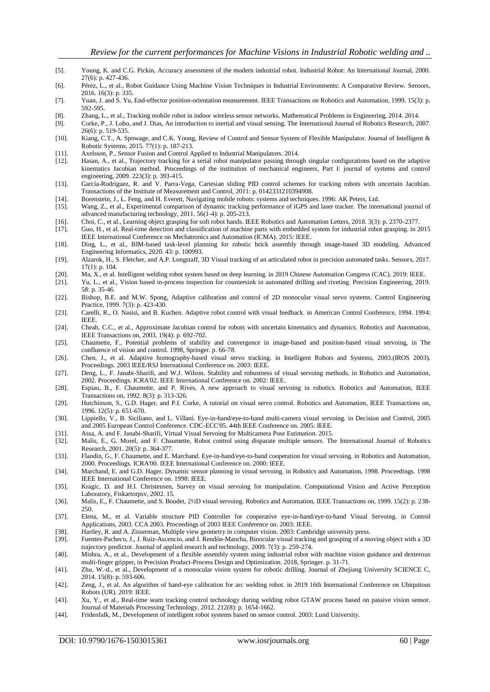- <span id="page-7-0"></span>[5]. Young, K. and C.G. Pickin, Accuracy assessment of the modern industrial robot. Industrial Robot: An International Journal, 2000. 27(6): p. 427-436.
- <span id="page-7-1"></span>[6]. Pérez, L., et al., Robot Guidance Using Machine Vision Techniques in Industrial Environments: A Comparative Review. Sensors, 2016. 16(3): p. 335.
- <span id="page-7-2"></span>[7]. Yuan, J. and S. Yu, End-effector position-orientation measurement. IEEE Transactions on Robotics and Automation, 1999. 15(3): p. 592-595.
- <span id="page-7-3"></span>[8]. Zhang, L., et al., Tracking mobile robot in indoor wireless sensor networks. Mathematical Problems in Engineering, 2014. 2014.
- <span id="page-7-4"></span>[9]. Corke, P., J. Lobo, and J. Dias, An introduction to inertial and visual sensing. The International Journal of Robotics Research, 2007. 26(6): p. 519-535.
- <span id="page-7-5"></span>[10]. Kiang, C.T., A. Spowage, and C.K. Yoong, Review of Control and Sensor System of Flexible Manipulator. Journal of Intelligent & Robotic Systems, 2015. 77(1): p. 187-213.
- <span id="page-7-6"></span>[11]. Axelsson, P., Sensor Fusion and Control Applied to Industrial Manipulators. 2014.
- <span id="page-7-7"></span>[12]. Hasan, A., et al., Trajectory tracking for a serial robot manipulator passing through singular configurations based on the adaptive kinematics Jacobian method. Proceedings of the institution of mechanical engineers, Part I: journal of systems and control engineering, 2009. 223(3): p. 393-415.
- <span id="page-7-8"></span>[13]. García-Rodríguez, R. and V. Parra-Vega, Cartesian sliding PID control schemes for tracking robots with uncertain Jacobian. Transactions of the Institute of Measurement and Control, 2011: p. 0142331210394908.
- <span id="page-7-9"></span>[14]. Borenstein, J., L. Feng, and H. Everett, Navigating mobile robots: systems and techniques. 1996: AK Peters, Ltd.
- <span id="page-7-10"></span>[15]. Wang, Z., et al., Experimental comparison of dynamic tracking performance of iGPS and laser tracker. The international journal of advanced manufacturing technology, 2011. 56(1-4): p. 205-213.
- <span id="page-7-11"></span>[16]. Choi, C., et al., Learning object grasping for soft robot hands. IEEE Robotics and Automation Letters, 2018. 3(3): p. 2370-2377.
- <span id="page-7-12"></span>[17]. Guo, H., et al. Real-time detection and classification of machine parts with embedded system for industrial robot grasping. in 2015 IEEE International Conference on Mechatronics and Automation (ICMA). 2015: IEEE.
- <span id="page-7-13"></span>[18]. Ding, L., et al., BIM-based task-level planning for robotic brick assembly through image-based 3D modeling. Advanced Engineering Informatics, 2020. 43: p. 100993.
- <span id="page-7-14"></span>[19]. Alzarok, H., S. Fletcher, and A.P. Longstaff, 3D Visual tracking of an articulated robot in precision automated tasks. Sensors, 2017. 17(1): p. 104.
- <span id="page-7-15"></span>[20]. Ma, X., et al. Intelligent welding robot system based on deep learning. in 2019 Chinese Automation Congress (CAC). 2019: IEEE.
- <span id="page-7-16"></span>[21]. Yu, L., et al., Vision based in-process inspection for countersink in automated drilling and riveting. Precision Engineering, 2019. 58: p. 35-46.
- <span id="page-7-17"></span>[22]. Bishop, B.E. and M.W. Spong, Adaptive calibration and control of 2D monocular visual servo systems. Control Engineering Practice, 1999. 7(3): p. 423-430.
- [23]. Carelli, R., O. Nasisi, and B. Kuchen. Adaptive robot control with visual feedback. in American Control Conference, 1994. 1994: IEEE.
- [24]. Cheah, C.C., et al., Approximate Jacobian control for robots with uncertain kinematics and dynamics. Robotics and Automation, IEEE Transactions on, 2003. 19(4): p. 692-702.
- [25]. Chaumette, F., Potential problems of stability and convergence in image-based and position-based visual servoing, in The confluence of vision and control. 1998, Springer. p. 66-78.
- [26]. Chen, J., et al. Adaptive homography-based visual servo tracking. in Intelligent Robots and Systems, 2003.(IROS 2003). Proceedings. 2003 IEEE/RSJ International Conference on. 2003: IEEE.
- [27]. Deng, L., F. Janabi-Sharifi, and W.J. Wilson. Stability and robustness of visual servoing methods. in Robotics and Automation, 2002. Proceedings. ICRA'02. IEEE International Conference on. 2002: IEEE.
- [28]. Espiau, B., F. Chaumette, and P. Rives, A new approach to visual servoing in robotics. Robotics and Automation, IEEE Transactions on, 1992. 8(3): p. 313-326.
- <span id="page-7-18"></span>[29]. Hutchinson, S., G.D. Hager, and P.I. Corke, A tutorial on visual servo control. Robotics and Automation, IEEE Transactions on, 1996. 12(5): p. 651-670.
- <span id="page-7-19"></span>[30]. Lippiello, V., B. Siciliano, and L. Villani. Eye-in-hand/eye-to-hand multi-camera visual servoing. in Decision and Control, 2005 and 2005 European Control Conference. CDC-ECC'05. 44th IEEE Conference on. 2005: IEEE.
- <span id="page-7-20"></span>[31]. Assa, A. and F. Janabi-Sharifi, Virtual Visual Servoing for Multicamera Pose Estimation. 2015.
- <span id="page-7-21"></span>[32]. Malis, E., G. Morel, and F. Chaumette, Robot control using disparate multiple sensors. The International Journal of Robotics Research, 2001. 20(5): p. 364-377.
- <span id="page-7-22"></span>[33]. Flandin, G., F. Chaumette, and E. Marchand. Eye-in-hand/eye-to-hand cooperation for visual servoing. in Robotics and Automation, 2000. Proceedings. ICRA'00. IEEE International Conference on. 2000: IEEE.
- <span id="page-7-23"></span>[34]. Marchand, E. and G.D. Hager. Dynamic sensor planning in visual servoing. in Robotics and Automation, 1998. Proceedings. 1998 IEEE International Conference on. 1998: IEEE.
- <span id="page-7-24"></span>[35]. Kragic, D. and H.I. Christensen, Survey on visual servoing for manipulation. Computational Vision and Active Perception Laboratory, Fiskartorpsv, 2002. 15.
- <span id="page-7-25"></span>[36]. Malis, E., F. Chaumette, and S. Boudet, 2½D visual servoing. Robotics and Automation, IEEE Transactions on, 1999. 15(2): p. 238- 250.
- <span id="page-7-26"></span>[37]. Elena, M., et al. Variable structure PID Controller for cooperative eye-in-hand/eye-to-hand Visual Servoing. in Control Applications, 2003. CCA 2003. Proceedings of 2003 IEEE Conference on. 2003: IEEE.
- <span id="page-7-27"></span>[38]. Hartley, R. and A. Zisserman, Multiple view geometry in computer vision. 2003: Cambridge university press.
- <span id="page-7-28"></span>[39]. Fuentes-Pacheco, J., J. Ruiz-Ascencio, and J. Rendón-Mancha, Binocular visual tracking and grasping of a moving object with a 3D trajectory predictor. Journal of applied research and technology, 2009. 7(3): p. 259-274.
- <span id="page-7-29"></span>[40]. Mishra, A., et al., Development of a flexible assembly system using industrial robot with machine vision guidance and dexterous multi-finger gripper, in Precision Product-Process Design and Optimization. 2018, Springer. p. 31-71.
- <span id="page-7-30"></span>[41]. Zhu, W.-d., et al., Development of a monocular vision system for robotic drilling. Journal of Zhejiang University SCIENCE C, 2014. 15(8): p. 593-606.
- <span id="page-7-31"></span>[42]. Zeng, J., et al. An algorithm of hand-eye calibration for arc welding robot. in 2019 16th International Conference on Ubiquitous Robots (UR). 2019: IEEE.
- <span id="page-7-32"></span>[43]. Xu, Y., et al., Real-time seam tracking control technology during welding robot GTAW process based on passive vision sensor. Journal of Materials Processing Technology, 2012. 212(8): p. 1654-1662.
- <span id="page-7-33"></span>[44]. Fridenfalk, M., Development of intelligent robot systems based on sensor control. 2003: Lund University.